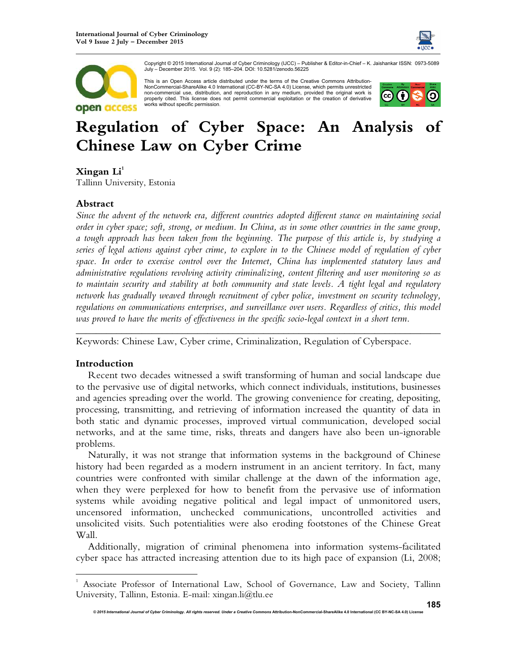



Copyright © 2015 International Journal of Cyber Criminology (IJCC) – Publisher & Editor-in-Chief – K. Jaishankar ISSN: 0973-5089 July – December 2015. Vol. 9 (2): 185–204. DOI: 10.5281/zenodo.56225

This is an Open Access article distributed under the terms of the Creative Commons Attribution-NonCommercial-ShareAlike 4.0 International (CC-BY-NC-SA 4.0) License, which permits unrestricted non-commercial use, distribution, and reproduction in any medium, provided the original work is properly cited. This license does not permit commercial exploitation or the creation of derivative works without specific permission.



# **Regulation of Cyber Space: An Analysis of Chinese Law on Cyber Crime**

# $\mathbf{X}\mathbf{ingan} \; \mathbf{Li}^1$

Tallinn University, Estonia

# **Abstract**

*Since the advent of the network era, different countries adopted different stance on maintaining social order in cyber space; soft, strong, or medium. In China, as in some other countries in the same group, a tough approach has been taken from the beginning. The purpose of this article is, by studying a series of legal actions against cyber crime, to explore in to the Chinese model of regulation of cyber space. In order to exercise control over the Internet, China has implemented statutory laws and administrative regulations revolving activity criminalizing, content filtering and user monitoring so as to maintain security and stability at both community and state levels. A tight legal and regulatory network has gradually weaved through recruitment of cyber police, investment on security technology, regulations on communications enterprises, and surveillance over users. Regardless of critics, this model was proved to have the merits of effectiveness in the specific socio-legal context in a short term.* 

*\_\_\_\_\_\_\_\_\_\_\_\_\_\_\_\_\_\_\_\_\_\_\_\_\_\_\_\_\_\_\_\_\_\_\_\_\_\_\_\_\_\_\_\_\_\_\_\_\_\_\_\_\_\_\_\_\_\_\_\_\_\_\_\_\_\_\_\_\_\_\_\_*

Keywords: Chinese Law, Cyber crime, Criminalization, Regulation of Cyberspace.

# **Introduction**

 $\overline{a}$ 

Recent two decades witnessed a swift transforming of human and social landscape due to the pervasive use of digital networks, which connect individuals, institutions, businesses and agencies spreading over the world. The growing convenience for creating, depositing, processing, transmitting, and retrieving of information increased the quantity of data in both static and dynamic processes, improved virtual communication, developed social networks, and at the same time, risks, threats and dangers have also been un-ignorable problems.

Naturally, it was not strange that information systems in the background of Chinese history had been regarded as a modern instrument in an ancient territory. In fact, many countries were confronted with similar challenge at the dawn of the information age, when they were perplexed for how to benefit from the pervasive use of information systems while avoiding negative political and legal impact of unmonitored users, uncensored information, unchecked communications, uncontrolled activities and unsolicited visits. Such potentialities were also eroding footstones of the Chinese Great Wall.

Additionally, migration of criminal phenomena into information systems-facilitated cyber space has attracted increasing attention due to its high pace of expansion (Li, 2008;

<sup>1</sup> Associate Professor of International Law, School of Governance, Law and Society, Tallinn University, Tallinn, Estonia. E-mail: xingan.li@tlu.ee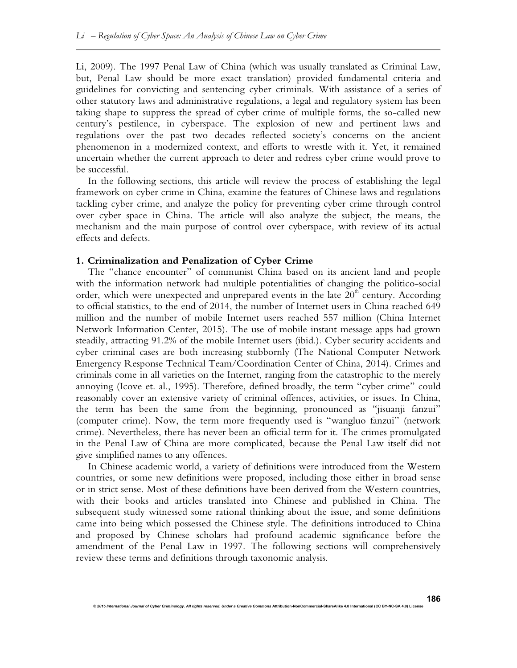Li, 2009). The 1997 Penal Law of China (which was usually translated as Criminal Law, but, Penal Law should be more exact translation) provided fundamental criteria and guidelines for convicting and sentencing cyber criminals. With assistance of a series of other statutory laws and administrative regulations, a legal and regulatory system has been taking shape to suppress the spread of cyber crime of multiple forms, the so-called new century's pestilence, in cyberspace. The explosion of new and pertinent laws and regulations over the past two decades reflected society's concerns on the ancient phenomenon in a modernized context, and efforts to wrestle with it. Yet, it remained uncertain whether the current approach to deter and redress cyber crime would prove to be successful.

In the following sections, this article will review the process of establishing the legal framework on cyber crime in China, examine the features of Chinese laws and regulations tackling cyber crime, and analyze the policy for preventing cyber crime through control over cyber space in China. The article will also analyze the subject, the means, the mechanism and the main purpose of control over cyberspace, with review of its actual effects and defects.

# **1. Criminalization and Penalization of Cyber Crime**

The "chance encounter" of communist China based on its ancient land and people with the information network had multiple potentialities of changing the politico-social order, which were unexpected and unprepared events in the late  $20<sup>th</sup>$  century. According to official statistics, to the end of 2014, the number of Internet users in China reached 649 million and the number of mobile Internet users reached 557 million (China Internet Network Information Center, 2015). The use of mobile instant message apps had grown steadily, attracting 91.2% of the mobile Internet users (ibid.). Cyber security accidents and cyber criminal cases are both increasing stubbornly (The National Computer Network Emergency Response Technical Team/Coordination Center of China, 2014). Crimes and criminals come in all varieties on the Internet, ranging from the catastrophic to the merely annoying (Icove et. al., 1995). Therefore, defined broadly, the term "cyber crime" could reasonably cover an extensive variety of criminal offences, activities, or issues. In China, the term has been the same from the beginning, pronounced as "jisuanji fanzui" (computer crime). Now, the term more frequently used is "wangluo fanzui" (network crime). Nevertheless, there has never been an official term for it. The crimes promulgated in the Penal Law of China are more complicated, because the Penal Law itself did not give simplified names to any offences.

In Chinese academic world, a variety of definitions were introduced from the Western countries, or some new definitions were proposed, including those either in broad sense or in strict sense. Most of these definitions have been derived from the Western countries, with their books and articles translated into Chinese and published in China. The subsequent study witnessed some rational thinking about the issue, and some definitions came into being which possessed the Chinese style. The definitions introduced to China and proposed by Chinese scholars had profound academic significance before the amendment of the Penal Law in 1997. The following sections will comprehensively review these terms and definitions through taxonomic analysis.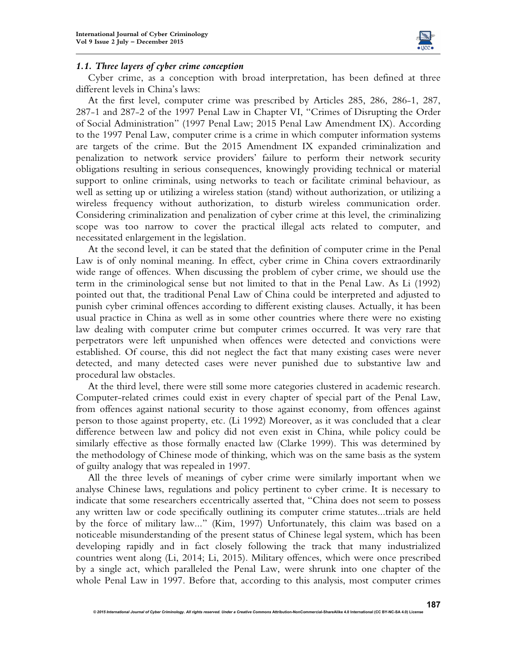

#### *1.1. Three layers of cyber crime conception*

Cyber crime, as a conception with broad interpretation, has been defined at three different levels in China's laws:

At the first level, computer crime was prescribed by Articles 285, 286, 286-1, 287, 287-1 and 287-2 of the 1997 Penal Law in Chapter VI, "Crimes of Disrupting the Order of Social Administration" (1997 Penal Law; 2015 Penal Law Amendment IX). According to the 1997 Penal Law, computer crime is a crime in which computer information systems are targets of the crime. But the 2015 Amendment IX expanded criminalization and penalization to network service providers' failure to perform their network security obligations resulting in serious consequences, knowingly providing technical or material support to online criminals, using networks to teach or facilitate criminal behaviour, as well as setting up or utilizing a wireless station (stand) without authorization, or utilizing a wireless frequency without authorization, to disturb wireless communication order. Considering criminalization and penalization of cyber crime at this level, the criminalizing scope was too narrow to cover the practical illegal acts related to computer, and necessitated enlargement in the legislation.

At the second level, it can be stated that the definition of computer crime in the Penal Law is of only nominal meaning. In effect, cyber crime in China covers extraordinarily wide range of offences. When discussing the problem of cyber crime, we should use the term in the criminological sense but not limited to that in the Penal Law. As Li (1992) pointed out that, the traditional Penal Law of China could be interpreted and adjusted to punish cyber criminal offences according to different existing clauses. Actually, it has been usual practice in China as well as in some other countries where there were no existing law dealing with computer crime but computer crimes occurred. It was very rare that perpetrators were left unpunished when offences were detected and convictions were established. Of course, this did not neglect the fact that many existing cases were never detected, and many detected cases were never punished due to substantive law and procedural law obstacles.

At the third level, there were still some more categories clustered in academic research. Computer-related crimes could exist in every chapter of special part of the Penal Law, from offences against national security to those against economy, from offences against person to those against property, etc. (Li 1992) Moreover, as it was concluded that a clear difference between law and policy did not even exist in China, while policy could be similarly effective as those formally enacted law (Clarke 1999). This was determined by the methodology of Chinese mode of thinking, which was on the same basis as the system of guilty analogy that was repealed in 1997.

All the three levels of meanings of cyber crime were similarly important when we analyse Chinese laws, regulations and policy pertinent to cyber crime. It is necessary to indicate that some researchers eccentrically asserted that, "China does not seem to possess any written law or code specifically outlining its computer crime statutes...trials are held by the force of military law..." (Kim, 1997) Unfortunately, this claim was based on a noticeable misunderstanding of the present status of Chinese legal system, which has been developing rapidly and in fact closely following the track that many industrialized countries went along (Li, 2014; Li, 2015). Military offences, which were once prescribed by a single act, which paralleled the Penal Law, were shrunk into one chapter of the whole Penal Law in 1997. Before that, according to this analysis, most computer crimes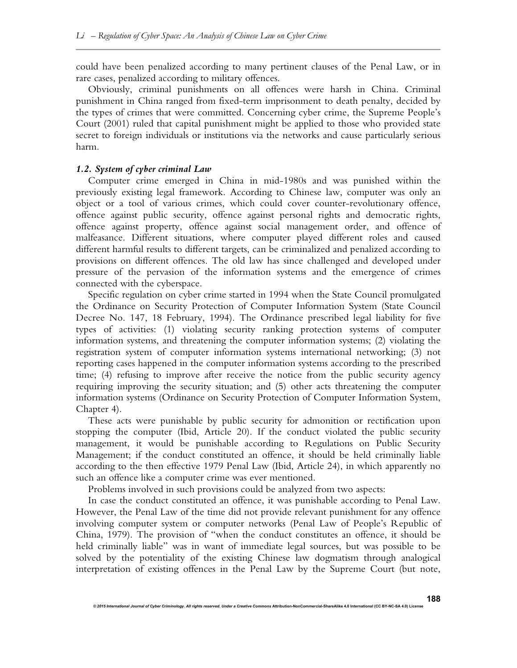could have been penalized according to many pertinent clauses of the Penal Law, or in rare cases, penalized according to military offences.

Obviously, criminal punishments on all offences were harsh in China. Criminal punishment in China ranged from fixed-term imprisonment to death penalty, decided by the types of crimes that were committed. Concerning cyber crime, the Supreme People's Court (2001) ruled that capital punishment might be applied to those who provided state secret to foreign individuals or institutions via the networks and cause particularly serious harm.

#### *1.2. System of cyber criminal Law*

Computer crime emerged in China in mid-1980s and was punished within the previously existing legal framework. According to Chinese law, computer was only an object or a tool of various crimes, which could cover counter-revolutionary offence, offence against public security, offence against personal rights and democratic rights, offence against property, offence against social management order, and offence of malfeasance. Different situations, where computer played different roles and caused different harmful results to different targets, can be criminalized and penalized according to provisions on different offences. The old law has since challenged and developed under pressure of the pervasion of the information systems and the emergence of crimes connected with the cyberspace.

Specific regulation on cyber crime started in 1994 when the State Council promulgated the Ordinance on Security Protection of Computer Information System (State Council Decree No. 147, 18 February, 1994). The Ordinance prescribed legal liability for five types of activities: (1) violating security ranking protection systems of computer information systems, and threatening the computer information systems; (2) violating the registration system of computer information systems international networking; (3) not reporting cases happened in the computer information systems according to the prescribed time; (4) refusing to improve after receive the notice from the public security agency requiring improving the security situation; and (5) other acts threatening the computer information systems (Ordinance on Security Protection of Computer Information System, Chapter 4).

These acts were punishable by public security for admonition or rectification upon stopping the computer (Ibid, Article 20). If the conduct violated the public security management, it would be punishable according to Regulations on Public Security Management; if the conduct constituted an offence, it should be held criminally liable according to the then effective 1979 Penal Law (Ibid, Article 24), in which apparently no such an offence like a computer crime was ever mentioned.

Problems involved in such provisions could be analyzed from two aspects:

In case the conduct constituted an offence, it was punishable according to Penal Law. However, the Penal Law of the time did not provide relevant punishment for any offence involving computer system or computer networks (Penal Law of People's Republic of China, 1979). The provision of "when the conduct constitutes an offence, it should be held criminally liable" was in want of immediate legal sources, but was possible to be solved by the potentiality of the existing Chinese law dogmatism through analogical interpretation of existing offences in the Penal Law by the Supreme Court (but note,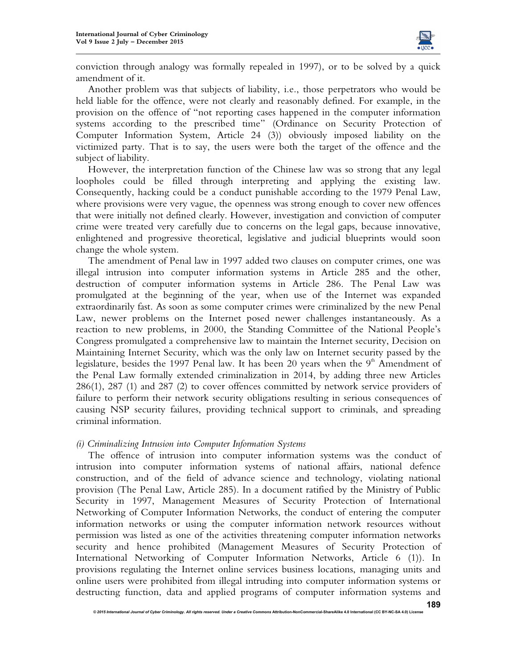

conviction through analogy was formally repealed in 1997), or to be solved by a quick amendment of it.

Another problem was that subjects of liability, i.e., those perpetrators who would be held liable for the offence, were not clearly and reasonably defined. For example, in the provision on the offence of "not reporting cases happened in the computer information systems according to the prescribed time" (Ordinance on Security Protection of Computer Information System, Article 24 (3)) obviously imposed liability on the victimized party. That is to say, the users were both the target of the offence and the subject of liability.

However, the interpretation function of the Chinese law was so strong that any legal loopholes could be filled through interpreting and applying the existing law. Consequently, hacking could be a conduct punishable according to the 1979 Penal Law, where provisions were very vague, the openness was strong enough to cover new offences that were initially not defined clearly. However, investigation and conviction of computer crime were treated very carefully due to concerns on the legal gaps, because innovative, enlightened and progressive theoretical, legislative and judicial blueprints would soon change the whole system.

The amendment of Penal law in 1997 added two clauses on computer crimes, one was illegal intrusion into computer information systems in Article 285 and the other, destruction of computer information systems in Article 286. The Penal Law was promulgated at the beginning of the year, when use of the Internet was expanded extraordinarily fast. As soon as some computer crimes were criminalized by the new Penal Law, newer problems on the Internet posed newer challenges instantaneously. As a reaction to new problems, in 2000, the Standing Committee of the National People's Congress promulgated a comprehensive law to maintain the Internet security, Decision on Maintaining Internet Security, which was the only law on Internet security passed by the legislature, besides the 1997 Penal law. It has been 20 years when the  $9<sup>th</sup>$  Amendment of the Penal Law formally extended criminalization in 2014, by adding three new Articles 286(1), 287 (1) and 287 (2) to cover offences committed by network service providers of failure to perform their network security obligations resulting in serious consequences of causing NSP security failures, providing technical support to criminals, and spreading criminal information.

# *(i) Criminalizing Intrusion into Computer Information Systems*

The offence of intrusion into computer information systems was the conduct of intrusion into computer information systems of national affairs, national defence construction, and of the field of advance science and technology, violating national provision (The Penal Law, Article 285). In a document ratified by the Ministry of Public Security in 1997, Management Measures of Security Protection of International Networking of Computer Information Networks, the conduct of entering the computer information networks or using the computer information network resources without permission was listed as one of the activities threatening computer information networks security and hence prohibited (Management Measures of Security Protection of International Networking of Computer Information Networks, Article 6 (1)). In provisions regulating the Internet online services business locations, managing units and online users were prohibited from illegal intruding into computer information systems or destructing function, data and applied programs of computer information systems and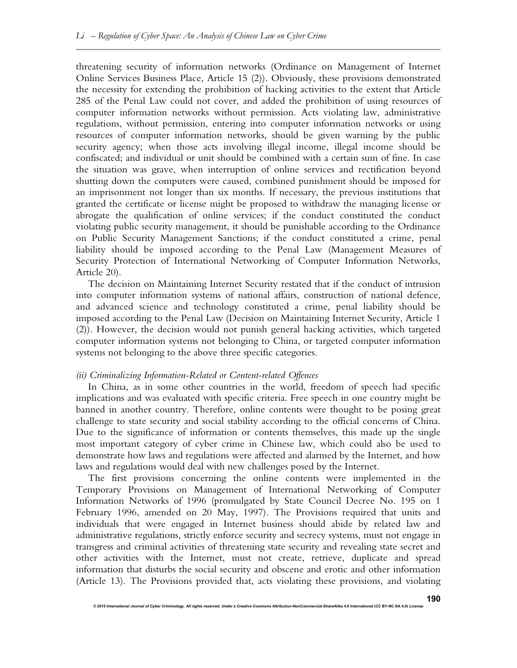threatening security of information networks (Ordinance on Management of Internet Online Services Business Place, Article 15 (2)). Obviously, these provisions demonstrated the necessity for extending the prohibition of hacking activities to the extent that Article 285 of the Penal Law could not cover, and added the prohibition of using resources of computer information networks without permission. Acts violating law, administrative regulations, without permission, entering into computer information networks or using resources of computer information networks, should be given warning by the public security agency; when those acts involving illegal income, illegal income should be confiscated; and individual or unit should be combined with a certain sum of fine. In case the situation was grave, when interruption of online services and rectification beyond shutting down the computers were caused, combined punishment should be imposed for an imprisonment not longer than six months. If necessary, the previous institutions that granted the certificate or license might be proposed to withdraw the managing license or abrogate the qualification of online services; if the conduct constituted the conduct violating public security management, it should be punishable according to the Ordinance on Public Security Management Sanctions; if the conduct constituted a crime, penal liability should be imposed according to the Penal Law (Management Measures of Security Protection of International Networking of Computer Information Networks, Article 20).

The decision on Maintaining Internet Security restated that if the conduct of intrusion into computer information systems of national affairs, construction of national defence, and advanced science and technology constituted a crime, penal liability should be imposed according to the Penal Law (Decision on Maintaining Internet Security, Article 1 (2)). However, the decision would not punish general hacking activities, which targeted computer information systems not belonging to China, or targeted computer information systems not belonging to the above three specific categories.

#### *(ii) Criminalizing Information-Related or Content-related Offences*

In China, as in some other countries in the world, freedom of speech had specific implications and was evaluated with specific criteria. Free speech in one country might be banned in another country. Therefore, online contents were thought to be posing great challenge to state security and social stability according to the official concerns of China. Due to the significance of information or contents themselves, this made up the single most important category of cyber crime in Chinese law, which could also be used to demonstrate how laws and regulations were affected and alarmed by the Internet, and how laws and regulations would deal with new challenges posed by the Internet.

The first provisions concerning the online contents were implemented in the Temporary Provisions on Management of International Networking of Computer Information Networks of 1996 (promulgated by State Council Decree No. 195 on 1 February 1996, amended on 20 May, 1997). The Provisions required that units and individuals that were engaged in Internet business should abide by related law and administrative regulations, strictly enforce security and secrecy systems, must not engage in transgress and criminal activities of threatening state security and revealing state secret and other activities with the Internet, must not create, retrieve, duplicate and spread information that disturbs the social security and obscene and erotic and other information (Article 13). The Provisions provided that, acts violating these provisions, and violating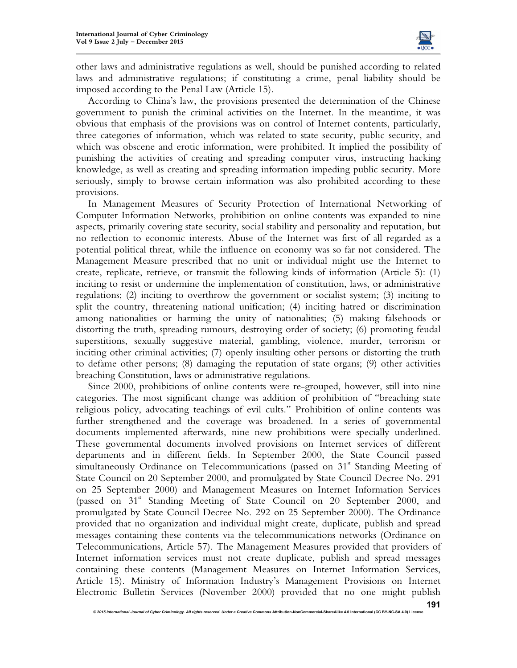

other laws and administrative regulations as well, should be punished according to related laws and administrative regulations; if constituting a crime, penal liability should be imposed according to the Penal Law (Article 15).

According to China's law, the provisions presented the determination of the Chinese government to punish the criminal activities on the Internet. In the meantime, it was obvious that emphasis of the provisions was on control of Internet contents, particularly, three categories of information, which was related to state security, public security, and which was obscene and erotic information, were prohibited. It implied the possibility of punishing the activities of creating and spreading computer virus, instructing hacking knowledge, as well as creating and spreading information impeding public security. More seriously, simply to browse certain information was also prohibited according to these provisions.

In Management Measures of Security Protection of International Networking of Computer Information Networks, prohibition on online contents was expanded to nine aspects, primarily covering state security, social stability and personality and reputation, but no reflection to economic interests. Abuse of the Internet was first of all regarded as a potential political threat, while the influence on economy was so far not considered. The Management Measure prescribed that no unit or individual might use the Internet to create, replicate, retrieve, or transmit the following kinds of information (Article 5): (1) inciting to resist or undermine the implementation of constitution, laws, or administrative regulations; (2) inciting to overthrow the government or socialist system; (3) inciting to split the country, threatening national unification; (4) inciting hatred or discrimination among nationalities or harming the unity of nationalities; (5) making falsehoods or distorting the truth, spreading rumours, destroying order of society; (6) promoting feudal superstitions, sexually suggestive material, gambling, violence, murder, terrorism or inciting other criminal activities; (7) openly insulting other persons or distorting the truth to defame other persons; (8) damaging the reputation of state organs; (9) other activities breaching Constitution, laws or administrative regulations.

Since 2000, prohibitions of online contents were re-grouped, however, still into nine categories. The most significant change was addition of prohibition of "breaching state religious policy, advocating teachings of evil cults." Prohibition of online contents was further strengthened and the coverage was broadened. In a series of governmental documents implemented afterwards, nine new prohibitions were specially underlined. These governmental documents involved provisions on Internet services of different departments and in different fields. In September 2000, the State Council passed simultaneously Ordinance on Telecommunications (passed on  $31<sup>st</sup>$  Standing Meeting of State Council on 20 September 2000, and promulgated by State Council Decree No. 291 on 25 September 2000) and Management Measures on Internet Information Services (passed on 31<sup>st</sup> Standing Meeting of State Council on 20 September 2000, and promulgated by State Council Decree No. 292 on 25 September 2000). The Ordinance provided that no organization and individual might create, duplicate, publish and spread messages containing these contents via the telecommunications networks (Ordinance on Telecommunications, Article 57). The Management Measures provided that providers of Internet information services must not create duplicate, publish and spread messages containing these contents (Management Measures on Internet Information Services, Article 15). Ministry of Information Industry's Management Provisions on Internet Electronic Bulletin Services (November 2000) provided that no one might publish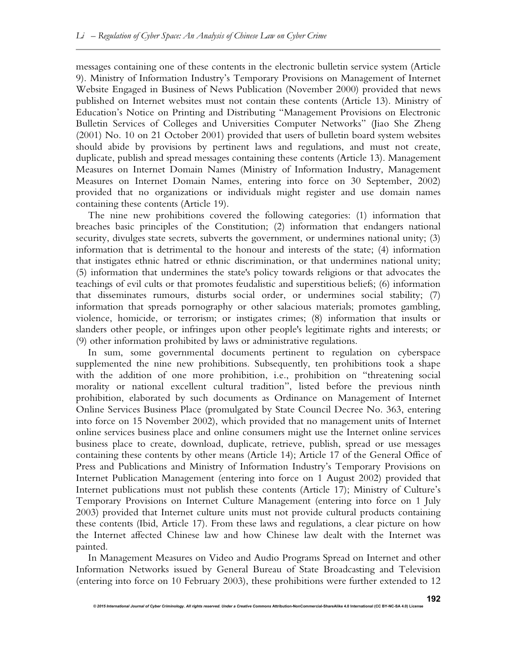messages containing one of these contents in the electronic bulletin service system (Article 9). Ministry of Information Industry's Temporary Provisions on Management of Internet Website Engaged in Business of News Publication (November 2000) provided that news published on Internet websites must not contain these contents (Article 13). Ministry of Education's Notice on Printing and Distributing "Management Provisions on Electronic Bulletin Services of Colleges and Universities Computer Networks" (Jiao She Zheng (2001) No. 10 on 21 October 2001) provided that users of bulletin board system websites should abide by provisions by pertinent laws and regulations, and must not create, duplicate, publish and spread messages containing these contents (Article 13). Management Measures on Internet Domain Names (Ministry of Information Industry, Management Measures on Internet Domain Names, entering into force on 30 September, 2002) provided that no organizations or individuals might register and use domain names containing these contents (Article 19).

The nine new prohibitions covered the following categories: (1) information that breaches basic principles of the Constitution; (2) information that endangers national security, divulges state secrets, subverts the government, or undermines national unity; (3) information that is detrimental to the honour and interests of the state; (4) information that instigates ethnic hatred or ethnic discrimination, or that undermines national unity; (5) information that undermines the state's policy towards religions or that advocates the teachings of evil cults or that promotes feudalistic and superstitious beliefs; (6) information that disseminates rumours, disturbs social order, or undermines social stability; (7) information that spreads pornography or other salacious materials; promotes gambling, violence, homicide, or terrorism; or instigates crimes; (8) information that insults or slanders other people, or infringes upon other people's legitimate rights and interests; or (9) other information prohibited by laws or administrative regulations.

In sum, some governmental documents pertinent to regulation on cyberspace supplemented the nine new prohibitions. Subsequently, ten prohibitions took a shape with the addition of one more prohibition, i.e., prohibition on "threatening social morality or national excellent cultural tradition", listed before the previous ninth prohibition, elaborated by such documents as Ordinance on Management of Internet Online Services Business Place (promulgated by State Council Decree No. 363, entering into force on 15 November 2002), which provided that no management units of Internet online services business place and online consumers might use the Internet online services business place to create, download, duplicate, retrieve, publish, spread or use messages containing these contents by other means (Article 14); Article 17 of the General Office of Press and Publications and Ministry of Information Industry's Temporary Provisions on Internet Publication Management (entering into force on 1 August 2002) provided that Internet publications must not publish these contents (Article 17); Ministry of Culture's Temporary Provisions on Internet Culture Management (entering into force on 1 July 2003) provided that Internet culture units must not provide cultural products containing these contents (Ibid, Article 17). From these laws and regulations, a clear picture on how the Internet affected Chinese law and how Chinese law dealt with the Internet was painted.

In Management Measures on Video and Audio Programs Spread on Internet and other Information Networks issued by General Bureau of State Broadcasting and Television (entering into force on 10 February 2003), these prohibitions were further extended to 12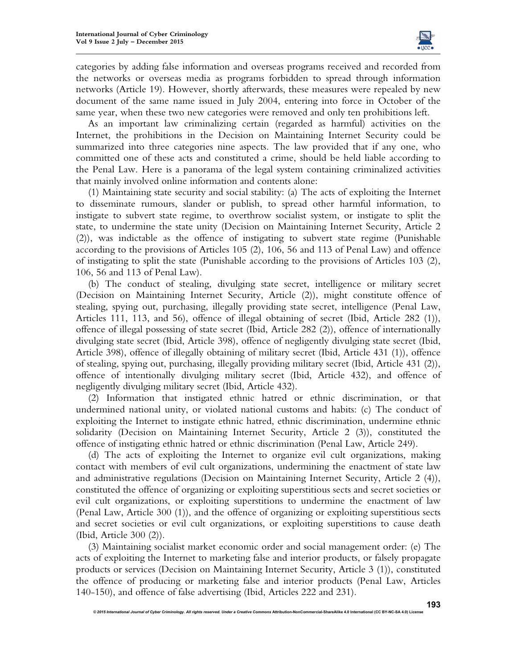

categories by adding false information and overseas programs received and recorded from the networks or overseas media as programs forbidden to spread through information networks (Article 19). However, shortly afterwards, these measures were repealed by new document of the same name issued in July 2004, entering into force in October of the same year, when these two new categories were removed and only ten prohibitions left.

As an important law criminalizing certain (regarded as harmful) activities on the Internet, the prohibitions in the Decision on Maintaining Internet Security could be summarized into three categories nine aspects. The law provided that if any one, who committed one of these acts and constituted a crime, should be held liable according to the Penal Law. Here is a panorama of the legal system containing criminalized activities that mainly involved online information and contents alone:

(1) Maintaining state security and social stability: (a) The acts of exploiting the Internet to disseminate rumours, slander or publish, to spread other harmful information, to instigate to subvert state regime, to overthrow socialist system, or instigate to split the state, to undermine the state unity (Decision on Maintaining Internet Security, Article 2 (2)), was indictable as the offence of instigating to subvert state regime (Punishable according to the provisions of Articles 105 (2), 106, 56 and 113 of Penal Law) and offence of instigating to split the state (Punishable according to the provisions of Articles 103 (2), 106, 56 and 113 of Penal Law).

(b) The conduct of stealing, divulging state secret, intelligence or military secret (Decision on Maintaining Internet Security, Article (2)), might constitute offence of stealing, spying out, purchasing, illegally providing state secret, intelligence (Penal Law, Articles 111, 113, and 56), offence of illegal obtaining of secret (Ibid, Article 282 (1)), offence of illegal possessing of state secret (Ibid, Article 282 (2)), offence of internationally divulging state secret (Ibid, Article 398), offence of negligently divulging state secret (Ibid, Article 398), offence of illegally obtaining of military secret (Ibid, Article 431 (1)), offence of stealing, spying out, purchasing, illegally providing military secret (Ibid, Article 431 (2)), offence of intentionally divulging military secret (Ibid, Article 432), and offence of negligently divulging military secret (Ibid, Article 432).

(2) Information that instigated ethnic hatred or ethnic discrimination, or that undermined national unity, or violated national customs and habits: (c) The conduct of exploiting the Internet to instigate ethnic hatred, ethnic discrimination, undermine ethnic solidarity (Decision on Maintaining Internet Security, Article 2 (3)), constituted the offence of instigating ethnic hatred or ethnic discrimination (Penal Law, Article 249).

(d) The acts of exploiting the Internet to organize evil cult organizations, making contact with members of evil cult organizations, undermining the enactment of state law and administrative regulations (Decision on Maintaining Internet Security, Article 2 (4)), constituted the offence of organizing or exploiting superstitious sects and secret societies or evil cult organizations, or exploiting superstitions to undermine the enactment of law (Penal Law, Article 300 (1)), and the offence of organizing or exploiting superstitious sects and secret societies or evil cult organizations, or exploiting superstitions to cause death (Ibid, Article 300 (2)).

(3) Maintaining socialist market economic order and social management order: (e) The acts of exploiting the Internet to marketing false and interior products, or falsely propagate products or services (Decision on Maintaining Internet Security, Article 3 (1)), constituted the offence of producing or marketing false and interior products (Penal Law, Articles 140-150), and offence of false advertising (Ibid, Articles 222 and 231).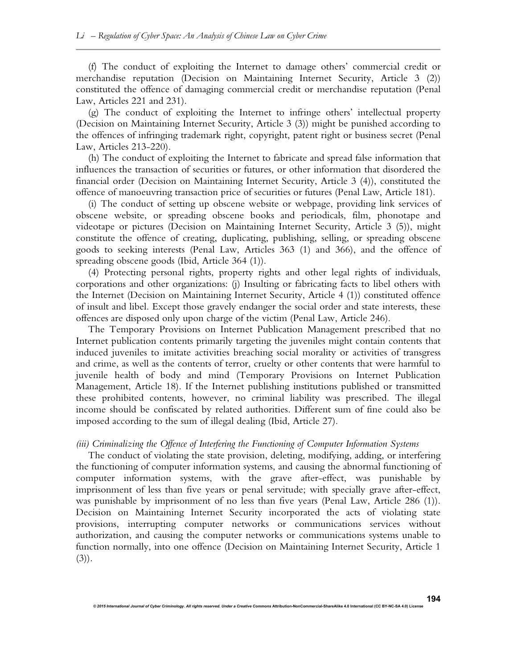(f) The conduct of exploiting the Internet to damage others' commercial credit or merchandise reputation (Decision on Maintaining Internet Security, Article 3 (2)) constituted the offence of damaging commercial credit or merchandise reputation (Penal Law, Articles 221 and 231).

(g) The conduct of exploiting the Internet to infringe others' intellectual property (Decision on Maintaining Internet Security, Article 3 (3)) might be punished according to the offences of infringing trademark right, copyright, patent right or business secret (Penal Law, Articles 213-220).

(h) The conduct of exploiting the Internet to fabricate and spread false information that influences the transaction of securities or futures, or other information that disordered the financial order (Decision on Maintaining Internet Security, Article 3 (4)), constituted the offence of manoeuvring transaction price of securities or futures (Penal Law, Article 181).

(i) The conduct of setting up obscene website or webpage, providing link services of obscene website, or spreading obscene books and periodicals, film, phonotape and videotape or pictures (Decision on Maintaining Internet Security, Article 3 (5)), might constitute the offence of creating, duplicating, publishing, selling, or spreading obscene goods to seeking interests (Penal Law, Articles 363 (1) and 366), and the offence of spreading obscene goods (Ibid, Article 364 (1)).

(4) Protecting personal rights, property rights and other legal rights of individuals, corporations and other organizations: (j) Insulting or fabricating facts to libel others with the Internet (Decision on Maintaining Internet Security, Article 4 (1)) constituted offence of insult and libel. Except those gravely endanger the social order and state interests, these offences are disposed only upon charge of the victim (Penal Law, Article 246).

The Temporary Provisions on Internet Publication Management prescribed that no Internet publication contents primarily targeting the juveniles might contain contents that induced juveniles to imitate activities breaching social morality or activities of transgress and crime, as well as the contents of terror, cruelty or other contents that were harmful to juvenile health of body and mind (Temporary Provisions on Internet Publication Management, Article 18). If the Internet publishing institutions published or transmitted these prohibited contents, however, no criminal liability was prescribed. The illegal income should be confiscated by related authorities. Different sum of fine could also be imposed according to the sum of illegal dealing (Ibid, Article 27).

#### *(iii) Criminalizing the Offence of Interfering the Functioning of Computer Information Systems*

The conduct of violating the state provision, deleting, modifying, adding, or interfering the functioning of computer information systems, and causing the abnormal functioning of computer information systems, with the grave after-effect, was punishable by imprisonment of less than five years or penal servitude; with specially grave after-effect, was punishable by imprisonment of no less than five years (Penal Law, Article 286 (1)). Decision on Maintaining Internet Security incorporated the acts of violating state provisions, interrupting computer networks or communications services without authorization, and causing the computer networks or communications systems unable to function normally, into one offence (Decision on Maintaining Internet Security, Article 1  $(3)$ ).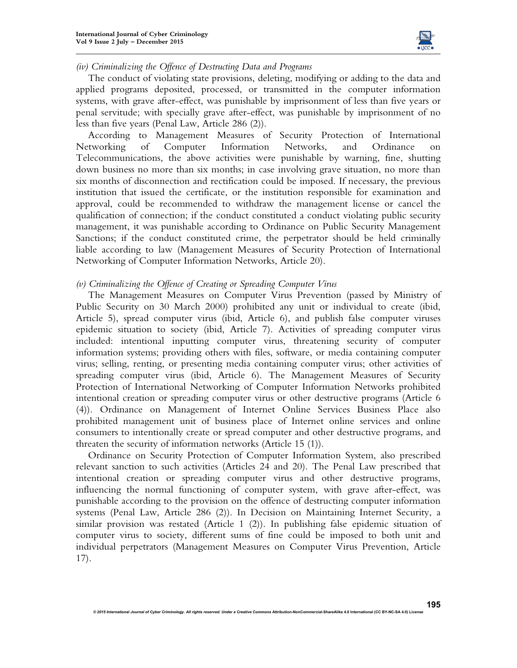

#### *(iv) Criminalizing the Offence of Destructing Data and Programs*

The conduct of violating state provisions, deleting, modifying or adding to the data and applied programs deposited, processed, or transmitted in the computer information systems, with grave after-effect, was punishable by imprisonment of less than five years or penal servitude; with specially grave after-effect, was punishable by imprisonment of no less than five years (Penal Law, Article 286 (2)).

According to Management Measures of Security Protection of International Networking of Computer Information Networks, and Ordinance on Telecommunications, the above activities were punishable by warning, fine, shutting down business no more than six months; in case involving grave situation, no more than six months of disconnection and rectification could be imposed. If necessary, the previous institution that issued the certificate, or the institution responsible for examination and approval, could be recommended to withdraw the management license or cancel the qualification of connection; if the conduct constituted a conduct violating public security management, it was punishable according to Ordinance on Public Security Management Sanctions; if the conduct constituted crime, the perpetrator should be held criminally liable according to law (Management Measures of Security Protection of International Networking of Computer Information Networks, Article 20).

#### *(v) Criminalizing the Offence of Creating or Spreading Computer Virus*

The Management Measures on Computer Virus Prevention (passed by Ministry of Public Security on 30 March 2000) prohibited any unit or individual to create (ibid, Article 5), spread computer virus (ibid, Article 6), and publish false computer viruses epidemic situation to society (ibid, Article 7). Activities of spreading computer virus included: intentional inputting computer virus, threatening security of computer information systems; providing others with files, software, or media containing computer virus; selling, renting, or presenting media containing computer virus; other activities of spreading computer virus (ibid, Article 6). The Management Measures of Security Protection of International Networking of Computer Information Networks prohibited intentional creation or spreading computer virus or other destructive programs (Article 6 (4)). Ordinance on Management of Internet Online Services Business Place also prohibited management unit of business place of Internet online services and online consumers to intentionally create or spread computer and other destructive programs, and threaten the security of information networks (Article 15 (1)).

Ordinance on Security Protection of Computer Information System, also prescribed relevant sanction to such activities (Articles 24 and 20). The Penal Law prescribed that intentional creation or spreading computer virus and other destructive programs, influencing the normal functioning of computer system, with grave after-effect, was punishable according to the provision on the offence of destructing computer information systems (Penal Law, Article 286 (2)). In Decision on Maintaining Internet Security, a similar provision was restated (Article 1 (2)). In publishing false epidemic situation of computer virus to society, different sums of fine could be imposed to both unit and individual perpetrators (Management Measures on Computer Virus Prevention, Article 17).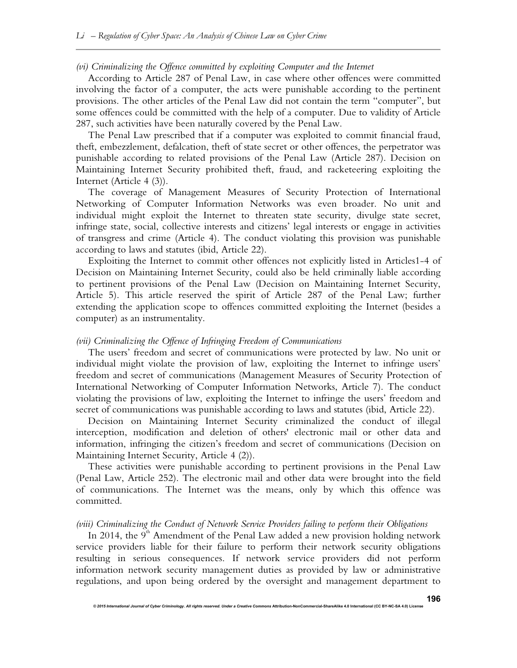# *(vi)* Criminalizing the Offence committed by exploiting Computer and the Internet

According to Article 287 of Penal Law, in case where other offences were committed involving the factor of a computer, the acts were punishable according to the pertinent provisions. The other articles of the Penal Law did not contain the term "computer", but some offences could be committed with the help of a computer. Due to validity of Article 287, such activities have been naturally covered by the Penal Law.

The Penal Law prescribed that if a computer was exploited to commit financial fraud, theft, embezzlement, defalcation, theft of state secret or other offences, the perpetrator was punishable according to related provisions of the Penal Law (Article 287). Decision on Maintaining Internet Security prohibited theft, fraud, and racketeering exploiting the Internet (Article 4 (3)).

The coverage of Management Measures of Security Protection of International Networking of Computer Information Networks was even broader. No unit and individual might exploit the Internet to threaten state security, divulge state secret, infringe state, social, collective interests and citizens' legal interests or engage in activities of transgress and crime (Article 4). The conduct violating this provision was punishable according to laws and statutes (ibid, Article 22).

Exploiting the Internet to commit other offences not explicitly listed in Articles1-4 of Decision on Maintaining Internet Security, could also be held criminally liable according to pertinent provisions of the Penal Law (Decision on Maintaining Internet Security, Article 5). This article reserved the spirit of Article 287 of the Penal Law; further extending the application scope to offences committed exploiting the Internet (besides a computer) as an instrumentality.

#### *(vii) Criminalizing the Offence of Infringing Freedom of Communications*

The users' freedom and secret of communications were protected by law. No unit or individual might violate the provision of law, exploiting the Internet to infringe users' freedom and secret of communications (Management Measures of Security Protection of International Networking of Computer Information Networks, Article 7). The conduct violating the provisions of law, exploiting the Internet to infringe the users' freedom and secret of communications was punishable according to laws and statutes (ibid, Article 22).

Decision on Maintaining Internet Security criminalized the conduct of illegal interception, modification and deletion of others' electronic mail or other data and information, infringing the citizen's freedom and secret of communications (Decision on Maintaining Internet Security, Article 4 (2)).

These activities were punishable according to pertinent provisions in the Penal Law (Penal Law, Article 252). The electronic mail and other data were brought into the field of communications. The Internet was the means, only by which this offence was committed.

#### *(viii) Criminalizing the Conduct of Network Service Providers failing to perform their Obligations*

In 2014, the  $9<sup>th</sup>$  Amendment of the Penal Law added a new provision holding network service providers liable for their failure to perform their network security obligations resulting in serious consequences. If network service providers did not perform information network security management duties as provided by law or administrative regulations, and upon being ordered by the oversight and management department to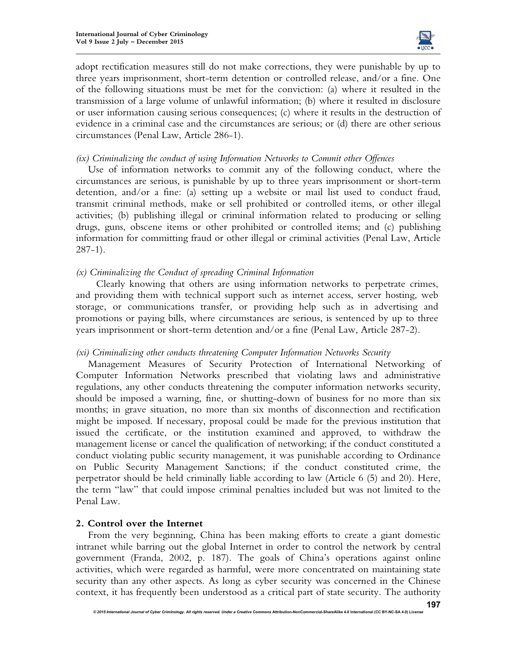

adopt rectification measures still do not make corrections, they were punishable by up to three years imprisonment, short-term detention or controlled release, and/or a fine. One of the following situations must be met for the conviction: (a) where it resulted in the transmission of a large volume of unlawful information; (b) where it resulted in disclosure or user information causing serious consequences; (c) where it results in the destruction of evidence in a criminal case and the circumstances are serious; or (d) there are other serious circumstances (Penal Law, Article 286-1).

#### *(ix) Criminalizing the conduct of using Information Networks to Commit other Offences*

Use of information networks to commit any of the following conduct, where the circumstances are serious, is punishable by up to three years imprisonment or short-term detention, and/or a fine: (a) setting up a website or mail list used to conduct fraud, transmit criminal methods, make or sell prohibited or controlled items, or other illegal activities; (b) publishing illegal or criminal information related to producing or selling drugs, guns, obscene items or other prohibited or controlled items; and (c) publishing information for committing fraud or other illegal or criminal activities (Penal Law, Article 287-1).

# *(x) Criminalizing the Conduct of spreading Criminal Information*

Clearly knowing that others are using information networks to perpetrate crimes, and providing them with technical support such as internet access, server hosting, web storage, or communications transfer, or providing help such as in advertising and promotions or paying bills, where circumstances are serious, is sentenced by up to three years imprisonment or short-term detention and/or a fine (Penal Law, Article 287-2).

#### *(xi) Criminalizing other conducts threatening Computer Information Networks Security*

Management Measures of Security Protection of International Networking of Computer Information Networks prescribed that violating laws and administrative regulations, any other conducts threatening the computer information networks security, should be imposed a warning, fine, or shutting-down of business for no more than six months; in grave situation, no more than six months of disconnection and rectification might be imposed. If necessary, proposal could be made for the previous institution that issued the certificate, or the institution examined and approved, to withdraw the management license or cancel the qualification of networking; if the conduct constituted a conduct violating public security management, it was punishable according to Ordinance on Public Security Management Sanctions; if the conduct constituted crime, the perpetrator should be held criminally liable according to law (Article 6 (5) and 20). Here, the term "law" that could impose criminal penalties included but was not limited to the Penal Law.

# **2. Control over the Internet**

From the very beginning, China has been making efforts to create a giant domestic intranet while barring out the global Internet in order to control the network by central government (Franda, 2002, p. 187). The goals of China's operations against online activities, which were regarded as harmful, were more concentrated on maintaining state security than any other aspects. As long as cyber security was concerned in the Chinese context, it has frequently been understood as a critical part of state security. The authority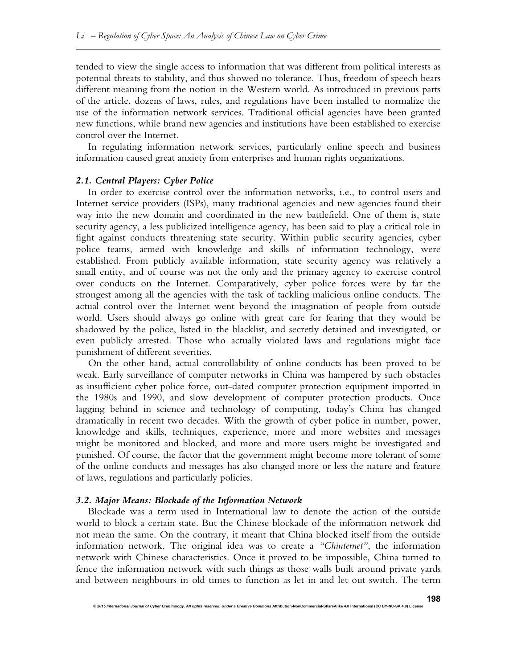tended to view the single access to information that was different from political interests as potential threats to stability, and thus showed no tolerance. Thus, freedom of speech bears different meaning from the notion in the Western world. As introduced in previous parts of the article, dozens of laws, rules, and regulations have been installed to normalize the use of the information network services. Traditional official agencies have been granted new functions, while brand new agencies and institutions have been established to exercise control over the Internet.

In regulating information network services, particularly online speech and business information caused great anxiety from enterprises and human rights organizations.

# *2.1. Central Players: Cyber Police*

In order to exercise control over the information networks, i.e., to control users and Internet service providers (ISPs), many traditional agencies and new agencies found their way into the new domain and coordinated in the new battlefield. One of them is, state security agency, a less publicized intelligence agency, has been said to play a critical role in fight against conducts threatening state security. Within public security agencies, cyber police teams, armed with knowledge and skills of information technology, were established. From publicly available information, state security agency was relatively a small entity, and of course was not the only and the primary agency to exercise control over conducts on the Internet. Comparatively, cyber police forces were by far the strongest among all the agencies with the task of tackling malicious online conducts. The actual control over the Internet went beyond the imagination of people from outside world. Users should always go online with great care for fearing that they would be shadowed by the police, listed in the blacklist, and secretly detained and investigated, or even publicly arrested. Those who actually violated laws and regulations might face punishment of different severities.

On the other hand, actual controllability of online conducts has been proved to be weak. Early surveillance of computer networks in China was hampered by such obstacles as insufficient cyber police force, out-dated computer protection equipment imported in the 1980s and 1990, and slow development of computer protection products. Once lagging behind in science and technology of computing, today's China has changed dramatically in recent two decades. With the growth of cyber police in number, power, knowledge and skills, techniques, experience, more and more websites and messages might be monitored and blocked, and more and more users might be investigated and punished. Of course, the factor that the government might become more tolerant of some of the online conducts and messages has also changed more or less the nature and feature of laws, regulations and particularly policies.

#### *3.2. Major Means: Blockade of the Information Network*

Blockade was a term used in International law to denote the action of the outside world to block a certain state. But the Chinese blockade of the information network did not mean the same. On the contrary, it meant that China blocked itself from the outside information network. The original idea was to create a *"Chinternet"*, the information network with Chinese characteristics. Once it proved to be impossible, China turned to fence the information network with such things as those walls built around private yards and between neighbours in old times to function as let-in and let-out switch. The term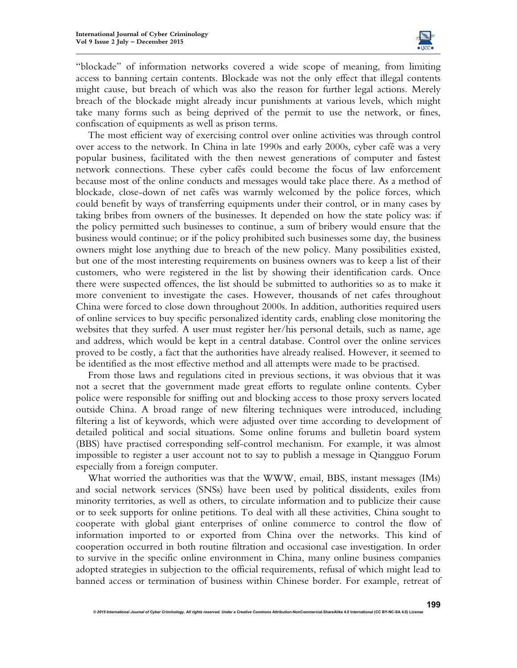

"blockade" of information networks covered a wide scope of meaning, from limiting access to banning certain contents. Blockade was not the only effect that illegal contents might cause, but breach of which was also the reason for further legal actions. Merely breach of the blockade might already incur punishments at various levels, which might take many forms such as being deprived of the permit to use the network, or fines, confiscation of equipments as well as prison terms.

The most efficient way of exercising control over online activities was through control over access to the network. In China in late 1990s and early 2000s, cyber café was a very popular business, facilitated with the then newest generations of computer and fastest network connections. These cyber cafés could become the focus of law enforcement because most of the online conducts and messages would take place there. As a method of blockade, close-down of net cafés was warmly welcomed by the police forces, which could benefit by ways of transferring equipments under their control, or in many cases by taking bribes from owners of the businesses. It depended on how the state policy was: if the policy permitted such businesses to continue, a sum of bribery would ensure that the business would continue; or if the policy prohibited such businesses some day, the business owners might lose anything due to breach of the new policy. Many possibilities existed, but one of the most interesting requirements on business owners was to keep a list of their customers, who were registered in the list by showing their identification cards. Once there were suspected offences, the list should be submitted to authorities so as to make it more convenient to investigate the cases. However, thousands of net cafes throughout China were forced to close down throughout 2000s. In addition, authorities required users of online services to buy specific personalized identity cards, enabling close monitoring the websites that they surfed. A user must register her/his personal details, such as name, age and address, which would be kept in a central database. Control over the online services proved to be costly, a fact that the authorities have already realised. However, it seemed to be identified as the most effective method and all attempts were made to be practised.

From those laws and regulations cited in previous sections, it was obvious that it was not a secret that the government made great efforts to regulate online contents. Cyber police were responsible for sniffing out and blocking access to those proxy servers located outside China. A broad range of new filtering techniques were introduced, including filtering a list of keywords, which were adjusted over time according to development of detailed political and social situations. Some online forums and bulletin board system (BBS) have practised corresponding self-control mechanism. For example, it was almost impossible to register a user account not to say to publish a message in Qiangguo Forum especially from a foreign computer.

What worried the authorities was that the WWW, email, BBS, instant messages (IMs) and social network services (SNSs) have been used by political dissidents, exiles from minority territories, as well as others, to circulate information and to publicize their cause or to seek supports for online petitions. To deal with all these activities, China sought to cooperate with global giant enterprises of online commerce to control the flow of information imported to or exported from China over the networks. This kind of cooperation occurred in both routine filtration and occasional case investigation. In order to survive in the specific online environment in China, many online business companies adopted strategies in subjection to the official requirements, refusal of which might lead to banned access or termination of business within Chinese border. For example, retreat of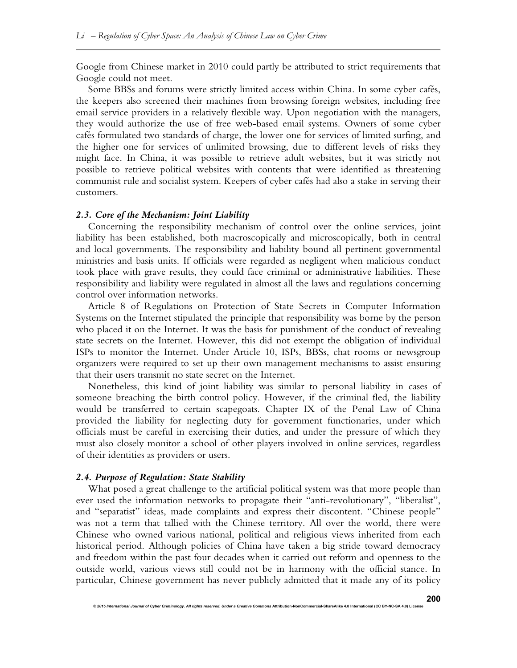Google from Chinese market in 2010 could partly be attributed to strict requirements that Google could not meet.

Some BBSs and forums were strictly limited access within China. In some cyber cafés, the keepers also screened their machines from browsing foreign websites, including free email service providers in a relatively flexible way. Upon negotiation with the managers, they would authorize the use of free web-based email systems. Owners of some cyber cafés formulated two standards of charge, the lower one for services of limited surfing, and the higher one for services of unlimited browsing, due to different levels of risks they might face. In China, it was possible to retrieve adult websites, but it was strictly not possible to retrieve political websites with contents that were identified as threatening communist rule and socialist system. Keepers of cyber cafés had also a stake in serving their customers.

#### *2.3. Core of the Mechanism: Joint Liability*

Concerning the responsibility mechanism of control over the online services, joint liability has been established, both macroscopically and microscopically, both in central and local governments. The responsibility and liability bound all pertinent governmental ministries and basis units. If officials were regarded as negligent when malicious conduct took place with grave results, they could face criminal or administrative liabilities. These responsibility and liability were regulated in almost all the laws and regulations concerning control over information networks.

Article 8 of Regulations on Protection of State Secrets in Computer Information Systems on the Internet stipulated the principle that responsibility was borne by the person who placed it on the Internet. It was the basis for punishment of the conduct of revealing state secrets on the Internet. However, this did not exempt the obligation of individual ISPs to monitor the Internet. Under Article 10, ISPs, BBSs, chat rooms or newsgroup organizers were required to set up their own management mechanisms to assist ensuring that their users transmit no state secret on the Internet.

Nonetheless, this kind of joint liability was similar to personal liability in cases of someone breaching the birth control policy. However, if the criminal fled, the liability would be transferred to certain scapegoats. Chapter IX of the Penal Law of China provided the liability for neglecting duty for government functionaries, under which officials must be careful in exercising their duties, and under the pressure of which they must also closely monitor a school of other players involved in online services, regardless of their identities as providers or users.

#### *2.4. Purpose of Regulation: State Stability*

What posed a great challenge to the artificial political system was that more people than ever used the information networks to propagate their "anti-revolutionary", "liberalist", and "separatist" ideas, made complaints and express their discontent. "Chinese people" was not a term that tallied with the Chinese territory. All over the world, there were Chinese who owned various national, political and religious views inherited from each historical period. Although policies of China have taken a big stride toward democracy and freedom within the past four decades when it carried out reform and openness to the outside world, various views still could not be in harmony with the official stance. In particular, Chinese government has never publicly admitted that it made any of its policy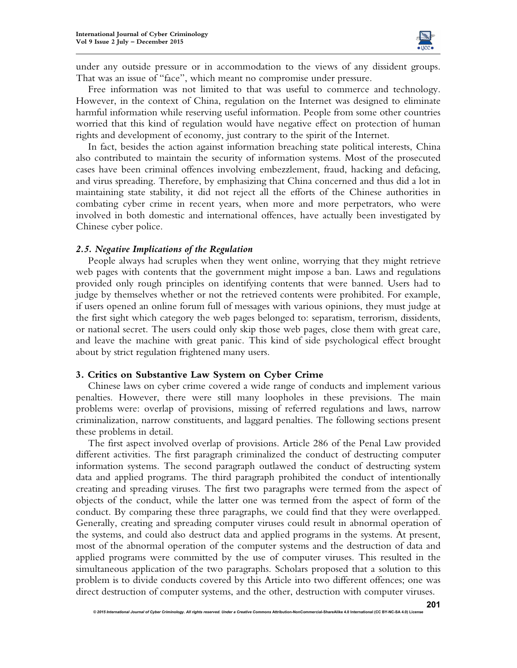

under any outside pressure or in accommodation to the views of any dissident groups. That was an issue of "face", which meant no compromise under pressure.

Free information was not limited to that was useful to commerce and technology. However, in the context of China, regulation on the Internet was designed to eliminate harmful information while reserving useful information. People from some other countries worried that this kind of regulation would have negative effect on protection of human rights and development of economy, just contrary to the spirit of the Internet.

In fact, besides the action against information breaching state political interests, China also contributed to maintain the security of information systems. Most of the prosecuted cases have been criminal offences involving embezzlement, fraud, hacking and defacing, and virus spreading. Therefore, by emphasizing that China concerned and thus did a lot in maintaining state stability, it did not reject all the efforts of the Chinese authorities in combating cyber crime in recent years, when more and more perpetrators, who were involved in both domestic and international offences, have actually been investigated by Chinese cyber police.

#### *2.5. Negative Implications of the Regulation*

People always had scruples when they went online, worrying that they might retrieve web pages with contents that the government might impose a ban. Laws and regulations provided only rough principles on identifying contents that were banned. Users had to judge by themselves whether or not the retrieved contents were prohibited. For example, if users opened an online forum full of messages with various opinions, they must judge at the first sight which category the web pages belonged to: separatism, terrorism, dissidents, or national secret. The users could only skip those web pages, close them with great care, and leave the machine with great panic. This kind of side psychological effect brought about by strict regulation frightened many users.

#### **3. Critics on Substantive Law System on Cyber Crime**

Chinese laws on cyber crime covered a wide range of conducts and implement various penalties. However, there were still many loopholes in these previsions. The main problems were: overlap of provisions, missing of referred regulations and laws, narrow criminalization, narrow constituents, and laggard penalties. The following sections present these problems in detail.

The first aspect involved overlap of provisions. Article 286 of the Penal Law provided different activities. The first paragraph criminalized the conduct of destructing computer information systems. The second paragraph outlawed the conduct of destructing system data and applied programs. The third paragraph prohibited the conduct of intentionally creating and spreading viruses. The first two paragraphs were termed from the aspect of objects of the conduct, while the latter one was termed from the aspect of form of the conduct. By comparing these three paragraphs, we could find that they were overlapped. Generally, creating and spreading computer viruses could result in abnormal operation of the systems, and could also destruct data and applied programs in the systems. At present, most of the abnormal operation of the computer systems and the destruction of data and applied programs were committed by the use of computer viruses. This resulted in the simultaneous application of the two paragraphs. Scholars proposed that a solution to this problem is to divide conducts covered by this Article into two different offences; one was direct destruction of computer systems, and the other, destruction with computer viruses.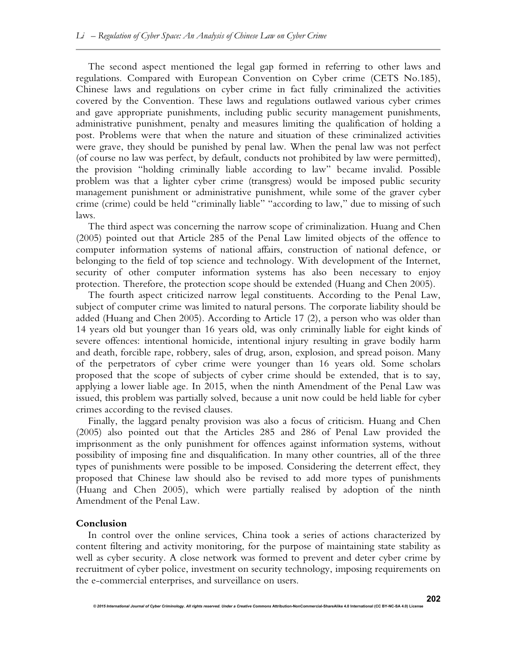The second aspect mentioned the legal gap formed in referring to other laws and regulations. Compared with European Convention on Cyber crime (CETS No.185), Chinese laws and regulations on cyber crime in fact fully criminalized the activities covered by the Convention. These laws and regulations outlawed various cyber crimes and gave appropriate punishments, including public security management punishments, administrative punishment, penalty and measures limiting the qualification of holding a post. Problems were that when the nature and situation of these criminalized activities were grave, they should be punished by penal law. When the penal law was not perfect (of course no law was perfect, by default, conducts not prohibited by law were permitted), the provision "holding criminally liable according to law" became invalid. Possible problem was that a lighter cyber crime (transgress) would be imposed public security management punishment or administrative punishment, while some of the graver cyber crime (crime) could be held "criminally liable" "according to law," due to missing of such laws.

The third aspect was concerning the narrow scope of criminalization. Huang and Chen (2005) pointed out that Article 285 of the Penal Law limited objects of the offence to computer information systems of national affairs, construction of national defence, or belonging to the field of top science and technology. With development of the Internet, security of other computer information systems has also been necessary to enjoy protection. Therefore, the protection scope should be extended (Huang and Chen 2005).

The fourth aspect criticized narrow legal constituents. According to the Penal Law, subject of computer crime was limited to natural persons. The corporate liability should be added (Huang and Chen 2005). According to Article 17 (2), a person who was older than 14 years old but younger than 16 years old, was only criminally liable for eight kinds of severe offences: intentional homicide, intentional injury resulting in grave bodily harm and death, forcible rape, robbery, sales of drug, arson, explosion, and spread poison. Many of the perpetrators of cyber crime were younger than 16 years old. Some scholars proposed that the scope of subjects of cyber crime should be extended, that is to say, applying a lower liable age. In 2015, when the ninth Amendment of the Penal Law was issued, this problem was partially solved, because a unit now could be held liable for cyber crimes according to the revised clauses.

Finally, the laggard penalty provision was also a focus of criticism. Huang and Chen (2005) also pointed out that the Articles 285 and 286 of Penal Law provided the imprisonment as the only punishment for offences against information systems, without possibility of imposing fine and disqualification. In many other countries, all of the three types of punishments were possible to be imposed. Considering the deterrent effect, they proposed that Chinese law should also be revised to add more types of punishments (Huang and Chen 2005), which were partially realised by adoption of the ninth Amendment of the Penal Law.

#### **Conclusion**

In control over the online services, China took a series of actions characterized by content filtering and activity monitoring, for the purpose of maintaining state stability as well as cyber security. A close network was formed to prevent and deter cyber crime by recruitment of cyber police, investment on security technology, imposing requirements on the e-commercial enterprises, and surveillance on users.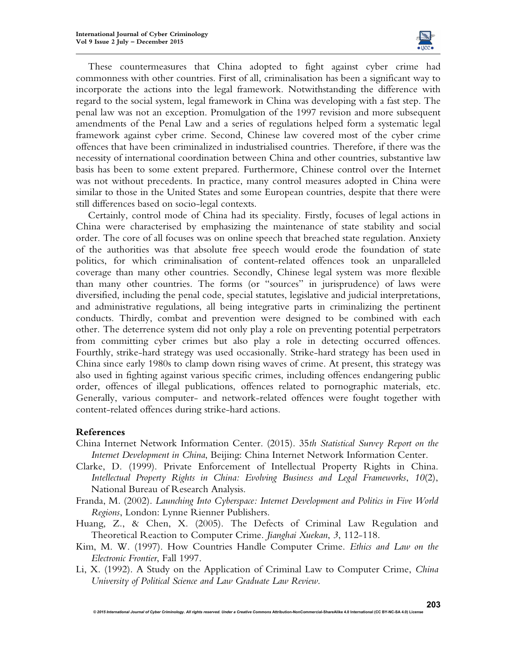

These countermeasures that China adopted to fight against cyber crime had commonness with other countries. First of all, criminalisation has been a significant way to incorporate the actions into the legal framework. Notwithstanding the difference with regard to the social system, legal framework in China was developing with a fast step. The penal law was not an exception. Promulgation of the 1997 revision and more subsequent amendments of the Penal Law and a series of regulations helped form a systematic legal framework against cyber crime. Second, Chinese law covered most of the cyber crime offences that have been criminalized in industrialised countries. Therefore, if there was the necessity of international coordination between China and other countries, substantive law basis has been to some extent prepared. Furthermore, Chinese control over the Internet was not without precedents. In practice, many control measures adopted in China were similar to those in the United States and some European countries, despite that there were still differences based on socio-legal contexts.

Certainly, control mode of China had its speciality. Firstly, focuses of legal actions in China were characterised by emphasizing the maintenance of state stability and social order. The core of all focuses was on online speech that breached state regulation. Anxiety of the authorities was that absolute free speech would erode the foundation of state politics, for which criminalisation of content-related offences took an unparalleled coverage than many other countries. Secondly, Chinese legal system was more flexible than many other countries. The forms (or "sources" in jurisprudence) of laws were diversified, including the penal code, special statutes, legislative and judicial interpretations, and administrative regulations, all being integrative parts in criminalizing the pertinent conducts. Thirdly, combat and prevention were designed to be combined with each other. The deterrence system did not only play a role on preventing potential perpetrators from committing cyber crimes but also play a role in detecting occurred offences. Fourthly, strike-hard strategy was used occasionally. Strike-hard strategy has been used in China since early 1980s to clamp down rising waves of crime. At present, this strategy was also used in fighting against various specific crimes, including offences endangering public order, offences of illegal publications, offences related to pornographic materials, etc. Generally, various computer- and network-related offences were fought together with content-related offences during strike-hard actions.

# **References**

- China Internet Network Information Center. (2015). 35*th Statistical Survey Report on the Internet Development in China*, Beijing: China Internet Network Information Center.
- Clarke, D. (1999). Private Enforcement of Intellectual Property Rights in China. *Intellectual Property Rights in China: Evolving Business and Legal Frameworks*, *10*(2), National Bureau of Research Analysis.
- Franda, M. (2002). *Launching Into Cyberspace: Internet Development and Politics in Five World Regions*, London: Lynne Rienner Publishers.
- Huang, Z., & Chen, X. (2005). The Defects of Criminal Law Regulation and Theoretical Reaction to Computer Crime. *Jianghai Xuekan*, *3*, 112-118.
- Kim, M. W. (1997). How Countries Handle Computer Crime. *Ethics and Law on the Electronic Frontier*, Fall 1997.
- Li, X. (1992). A Study on the Application of Criminal Law to Computer Crime, *China University of Political Science and Law Graduate Law Review*.